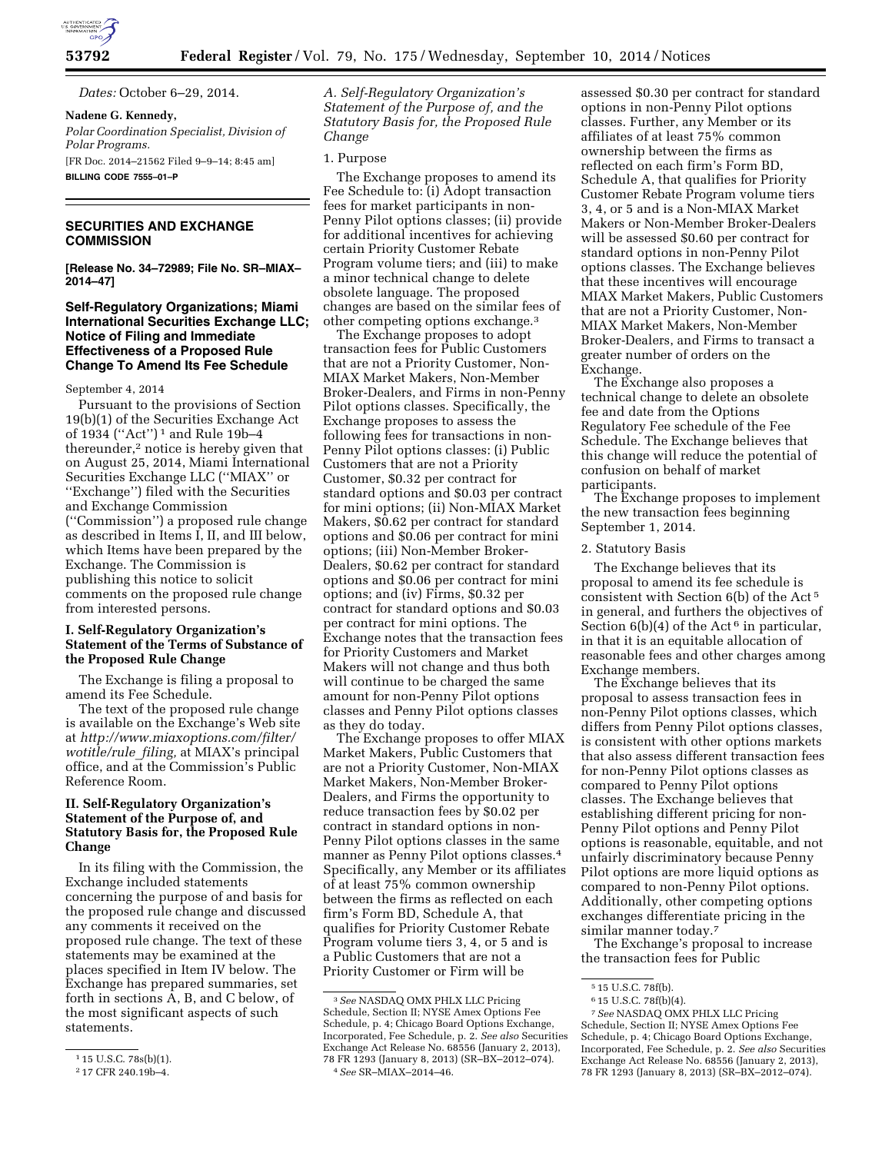

*Dates:* October 6–29, 2014.

### **Nadene G. Kennedy,**

*Polar Coordination Specialist, Division of Polar Programs.*  [FR Doc. 2014–21562 Filed 9–9–14; 8:45 am]

**BILLING CODE 7555–01–P** 

## **SECURITIES AND EXCHANGE COMMISSION**

**[Release No. 34–72989; File No. SR–MIAX– 2014–47]** 

### **Self-Regulatory Organizations; Miami International Securities Exchange LLC; Notice of Filing and Immediate Effectiveness of a Proposed Rule Change To Amend Its Fee Schedule**

### September 4, 2014

Pursuant to the provisions of Section 19(b)(1) of the Securities Exchange Act of 1934 (''Act'') 1 and Rule 19b–4 thereunder,2 notice is hereby given that on August 25, 2014, Miami International Securities Exchange LLC (''MIAX'' or ''Exchange'') filed with the Securities and Exchange Commission (''Commission'') a proposed rule change as described in Items I, II, and III below, which Items have been prepared by the Exchange. The Commission is publishing this notice to solicit comments on the proposed rule change from interested persons.

### **I. Self-Regulatory Organization's Statement of the Terms of Substance of the Proposed Rule Change**

The Exchange is filing a proposal to amend its Fee Schedule.

The text of the proposed rule change is available on the Exchange's Web site at *[http://www.miaxoptions.com/filter/](http://www.miaxoptions.com/filter/wotitle/rule_filing) [wotitle/rule](http://www.miaxoptions.com/filter/wotitle/rule_filing)*\_*filing,* at MIAX's principal office, and at the Commission's Public Reference Room.

## **II. Self-Regulatory Organization's Statement of the Purpose of, and Statutory Basis for, the Proposed Rule Change**

In its filing with the Commission, the Exchange included statements concerning the purpose of and basis for the proposed rule change and discussed any comments it received on the proposed rule change. The text of these statements may be examined at the places specified in Item IV below. The Exchange has prepared summaries, set forth in sections A, B, and C below, of the most significant aspects of such statements.

*A. Self-Regulatory Organization's Statement of the Purpose of, and the Statutory Basis for, the Proposed Rule Change* 

### 1. Purpose

The Exchange proposes to amend its Fee Schedule to: (i) Adopt transaction fees for market participants in non-Penny Pilot options classes; (ii) provide for additional incentives for achieving certain Priority Customer Rebate Program volume tiers; and (iii) to make a minor technical change to delete obsolete language. The proposed changes are based on the similar fees of other competing options exchange.3

The Exchange proposes to adopt transaction fees for Public Customers that are not a Priority Customer, Non-MIAX Market Makers, Non-Member Broker-Dealers, and Firms in non-Penny Pilot options classes. Specifically, the Exchange proposes to assess the following fees for transactions in non-Penny Pilot options classes: (i) Public Customers that are not a Priority Customer, \$0.32 per contract for standard options and \$0.03 per contract for mini options; (ii) Non-MIAX Market Makers, \$0.62 per contract for standard options and \$0.06 per contract for mini options; (iii) Non-Member Broker-Dealers, \$0.62 per contract for standard options and \$0.06 per contract for mini options; and (iv) Firms, \$0.32 per contract for standard options and \$0.03 per contract for mini options. The Exchange notes that the transaction fees for Priority Customers and Market Makers will not change and thus both will continue to be charged the same amount for non-Penny Pilot options classes and Penny Pilot options classes as they do today.

The Exchange proposes to offer MIAX Market Makers, Public Customers that are not a Priority Customer, Non-MIAX Market Makers, Non-Member Broker-Dealers, and Firms the opportunity to reduce transaction fees by \$0.02 per contract in standard options in non-Penny Pilot options classes in the same manner as Penny Pilot options classes.4 Specifically, any Member or its affiliates of at least 75% common ownership between the firms as reflected on each firm's Form BD, Schedule A, that qualifies for Priority Customer Rebate Program volume tiers 3, 4, or 5 and is a Public Customers that are not a Priority Customer or Firm will be

assessed \$0.30 per contract for standard options in non-Penny Pilot options classes. Further, any Member or its affiliates of at least 75% common ownership between the firms as reflected on each firm's Form BD, Schedule A, that qualifies for Priority Customer Rebate Program volume tiers 3, 4, or 5 and is a Non-MIAX Market Makers or Non-Member Broker-Dealers will be assessed \$0.60 per contract for standard options in non-Penny Pilot options classes. The Exchange believes that these incentives will encourage MIAX Market Makers, Public Customers that are not a Priority Customer, Non-MIAX Market Makers, Non-Member Broker-Dealers, and Firms to transact a greater number of orders on the Exchange.

The Exchange also proposes a technical change to delete an obsolete fee and date from the Options Regulatory Fee schedule of the Fee Schedule. The Exchange believes that this change will reduce the potential of confusion on behalf of market participants.

The Exchange proposes to implement the new transaction fees beginning September 1, 2014.

#### 2. Statutory Basis

The Exchange believes that its proposal to amend its fee schedule is consistent with Section 6(b) of the Act 5 in general, and furthers the objectives of Section  $6(b)(4)$  of the Act<sup>6</sup> in particular, in that it is an equitable allocation of reasonable fees and other charges among Exchange members.

The Exchange believes that its proposal to assess transaction fees in non-Penny Pilot options classes, which differs from Penny Pilot options classes, is consistent with other options markets that also assess different transaction fees for non-Penny Pilot options classes as compared to Penny Pilot options classes. The Exchange believes that establishing different pricing for non-Penny Pilot options and Penny Pilot options is reasonable, equitable, and not unfairly discriminatory because Penny Pilot options are more liquid options as compared to non-Penny Pilot options. Additionally, other competing options exchanges differentiate pricing in the similar manner today.<sup>7</sup>

The Exchange's proposal to increase the transaction fees for Public

<sup>1</sup> 15 U.S.C. 78s(b)(1).

<sup>2</sup> 17 CFR 240.19b–4.

<sup>3</sup>*See* NASDAQ OMX PHLX LLC Pricing Schedule, Section II; NYSE Amex Options Fee Schedule, p. 4; Chicago Board Options Exchange, Incorporated, Fee Schedule, p. 2. *See also* Securities Exchange Act Release No. 68556 (January 2, 2013), 78 FR 1293 (January 8, 2013) (SR–BX–2012–074). 4*See* SR–MIAX–2014–46.

<sup>5</sup> 15 U.S.C. 78f(b).

<sup>6</sup> 15 U.S.C. 78f(b)(4).

<sup>7</sup>*See* NASDAQ OMX PHLX LLC Pricing Schedule, Section II; NYSE Amex Options Fee Schedule, p. 4; Chicago Board Options Exchange, Incorporated, Fee Schedule, p. 2. *See also* Securities Exchange Act Release No. 68556 (January 2, 2013), 78 FR 1293 (January 8, 2013) (SR–BX–2012–074).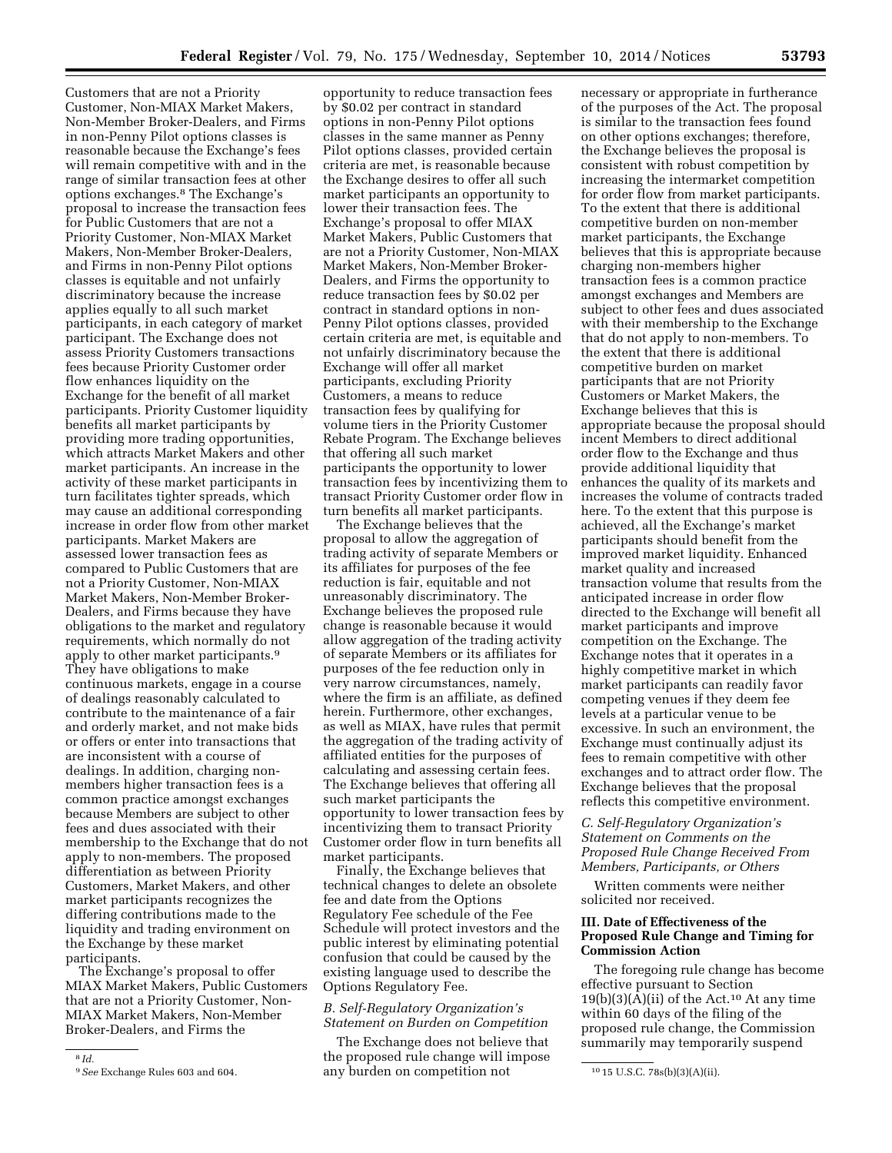Customers that are not a Priority Customer, Non-MIAX Market Makers, Non-Member Broker-Dealers, and Firms in non-Penny Pilot options classes is reasonable because the Exchange's fees will remain competitive with and in the range of similar transaction fees at other options exchanges.8 The Exchange's proposal to increase the transaction fees for Public Customers that are not a Priority Customer, Non-MIAX Market Makers, Non-Member Broker-Dealers, and Firms in non-Penny Pilot options classes is equitable and not unfairly discriminatory because the increase applies equally to all such market participants, in each category of market participant. The Exchange does not assess Priority Customers transactions fees because Priority Customer order flow enhances liquidity on the Exchange for the benefit of all market participants. Priority Customer liquidity benefits all market participants by providing more trading opportunities, which attracts Market Makers and other market participants. An increase in the activity of these market participants in turn facilitates tighter spreads, which may cause an additional corresponding increase in order flow from other market participants. Market Makers are assessed lower transaction fees as compared to Public Customers that are not a Priority Customer, Non-MIAX Market Makers, Non-Member Broker-Dealers, and Firms because they have obligations to the market and regulatory requirements, which normally do not apply to other market participants.9 They have obligations to make continuous markets, engage in a course of dealings reasonably calculated to contribute to the maintenance of a fair and orderly market, and not make bids or offers or enter into transactions that are inconsistent with a course of dealings. In addition, charging nonmembers higher transaction fees is a common practice amongst exchanges because Members are subject to other fees and dues associated with their membership to the Exchange that do not apply to non-members. The proposed differentiation as between Priority Customers, Market Makers, and other market participants recognizes the differing contributions made to the liquidity and trading environment on the Exchange by these market participants.

The Exchange's proposal to offer MIAX Market Makers, Public Customers that are not a Priority Customer, Non-MIAX Market Makers, Non-Member Broker-Dealers, and Firms the

opportunity to reduce transaction fees by \$0.02 per contract in standard options in non-Penny Pilot options classes in the same manner as Penny Pilot options classes, provided certain criteria are met, is reasonable because the Exchange desires to offer all such market participants an opportunity to lower their transaction fees. The Exchange's proposal to offer MIAX Market Makers, Public Customers that are not a Priority Customer, Non-MIAX Market Makers, Non-Member Broker-Dealers, and Firms the opportunity to reduce transaction fees by \$0.02 per contract in standard options in non-Penny Pilot options classes, provided certain criteria are met, is equitable and not unfairly discriminatory because the Exchange will offer all market participants, excluding Priority Customers, a means to reduce transaction fees by qualifying for volume tiers in the Priority Customer Rebate Program. The Exchange believes that offering all such market participants the opportunity to lower transaction fees by incentivizing them to transact Priority Customer order flow in turn benefits all market participants.

The Exchange believes that the proposal to allow the aggregation of trading activity of separate Members or its affiliates for purposes of the fee reduction is fair, equitable and not unreasonably discriminatory. The Exchange believes the proposed rule change is reasonable because it would allow aggregation of the trading activity of separate Members or its affiliates for purposes of the fee reduction only in very narrow circumstances, namely, where the firm is an affiliate, as defined herein. Furthermore, other exchanges, as well as MIAX, have rules that permit the aggregation of the trading activity of affiliated entities for the purposes of calculating and assessing certain fees. The Exchange believes that offering all such market participants the opportunity to lower transaction fees by incentivizing them to transact Priority Customer order flow in turn benefits all market participants.

Finally, the Exchange believes that technical changes to delete an obsolete fee and date from the Options Regulatory Fee schedule of the Fee Schedule will protect investors and the public interest by eliminating potential confusion that could be caused by the existing language used to describe the Options Regulatory Fee.

# *B. Self-Regulatory Organization's Statement on Burden on Competition*

<sup>9</sup> See Exchange Rules 603 and 604. **1016** any burden on competition not <sup>10</sup> 15 U.S.C. 78s(b)(3)(A)(ii). The Exchange does not believe that the proposed rule change will impose

necessary or appropriate in furtherance of the purposes of the Act. The proposal is similar to the transaction fees found on other options exchanges; therefore, the Exchange believes the proposal is consistent with robust competition by increasing the intermarket competition for order flow from market participants. To the extent that there is additional competitive burden on non-member market participants, the Exchange believes that this is appropriate because charging non-members higher transaction fees is a common practice amongst exchanges and Members are subject to other fees and dues associated with their membership to the Exchange that do not apply to non-members. To the extent that there is additional competitive burden on market participants that are not Priority Customers or Market Makers, the Exchange believes that this is appropriate because the proposal should incent Members to direct additional order flow to the Exchange and thus provide additional liquidity that enhances the quality of its markets and increases the volume of contracts traded here. To the extent that this purpose is achieved, all the Exchange's market participants should benefit from the improved market liquidity. Enhanced market quality and increased transaction volume that results from the anticipated increase in order flow directed to the Exchange will benefit all market participants and improve competition on the Exchange. The Exchange notes that it operates in a highly competitive market in which market participants can readily favor competing venues if they deem fee levels at a particular venue to be excessive. In such an environment, the Exchange must continually adjust its fees to remain competitive with other exchanges and to attract order flow. The Exchange believes that the proposal reflects this competitive environment.

## *C. Self-Regulatory Organization's Statement on Comments on the Proposed Rule Change Received From Members, Participants, or Others*

Written comments were neither solicited nor received.

## **III. Date of Effectiveness of the Proposed Rule Change and Timing for Commission Action**

The foregoing rule change has become effective pursuant to Section  $19(b)(3)(A)(ii)$  of the Act.<sup>10</sup> At any time within 60 days of the filing of the proposed rule change, the Commission summarily may temporarily suspend

<sup>8</sup> *Id.*